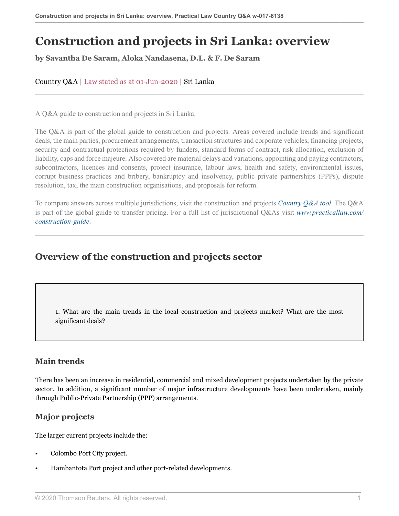# **Construction and projects in Sri Lanka: overview**

**by Savantha De Saram, Aloka Nandasena, D.L. & F. De Saram**

### Country Q&A | Law stated as at 01-Jun-2020 | Sri Lanka

A Q&A guide to construction and projects in Sri Lanka.

The Q&A is part of the global guide to construction and projects. Areas covered include trends and significant deals, the main parties, procurement arrangements, transaction structures and corporate vehicles, financing projects, security and contractual protections required by funders, standard forms of contract, risk allocation, exclusion of liability, caps and force majeure. Also covered are material delays and variations, appointing and paying contractors, subcontractors, licences and consents, project insurance, labour laws, health and safety, environmental issues, corrupt business practices and bribery, bankruptcy and insolvency, public private partnerships (PPPs), dispute resolution, tax, the main construction organisations, and proposals for reform.

To compare answers across multiple jurisdictions, visit the construction and projects *[Country Q&A tool](https://uk.practicallaw.thomsonreuters.com/QACompare/Builder/Country )*. The Q&A is part of the global guide to transfer pricing. For a full list of jurisdictional Q&As visit *[www.practicallaw.com/](https://uk.practicallaw.thomsonreuters.com/Browse/Home/International/ConstructionandProjectsGlobalGuide ) [construction-guide](https://uk.practicallaw.thomsonreuters.com/Browse/Home/International/ConstructionandProjectsGlobalGuide )*.

### **Overview of the construction and projects sector**

1. What are the main trends in the local construction and projects market? What are the most significant deals?

### **Main trends**

There has been an increase in residential, commercial and mixed development projects undertaken by the private sector. In addition, a significant number of major infrastructure developments have been undertaken, mainly through Public-Private Partnership (PPP) arrangements.

### **Major projects**

The larger current projects include the:

- Colombo Port City project.
- Hambantota Port project and other port-related developments.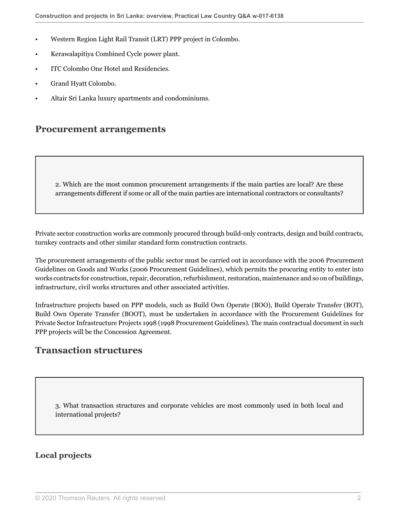- Western Region Light Rail Transit (LRT) PPP project in Colombo.
- Kerawalapitiya Combined Cycle power plant.
- ITC Colombo One Hotel and Residencies.
- Grand Hyatt Colombo.
- Altair Sri Lanka luxury apartments and condominiums.

### **Procurement arrangements**

2. Which are the most common procurement arrangements if the main parties are local? Are these arrangements different if some or all of the main parties are international contractors or consultants?

Private sector construction works are commonly procured through build-only contracts, design and build contracts, turnkey contracts and other similar standard form construction contracts.

The procurement arrangements of the public sector must be carried out in accordance with the 2006 Procurement Guidelines on Goods and Works (2006 Procurement Guidelines), which permits the procuring entity to enter into works contracts for construction, repair, decoration, refurbishment, restoration, maintenance and so on of buildings, infrastructure, civil works structures and other associated activities.

Infrastructure projects based on PPP models, such as Build Own Operate (BOO), Build Operate Transfer (BOT), Build Own Operate Transfer (BOOT), must be undertaken in accordance with the Procurement Guidelines for Private Sector Infrastructure Projects 1998 (1998 Procurement Guidelines). The main contractual document in such PPP projects will be the Concession Agreement.

### **Transaction structures**

3. What transaction structures and corporate vehicles are most commonly used in both local and international projects?

### **Local projects**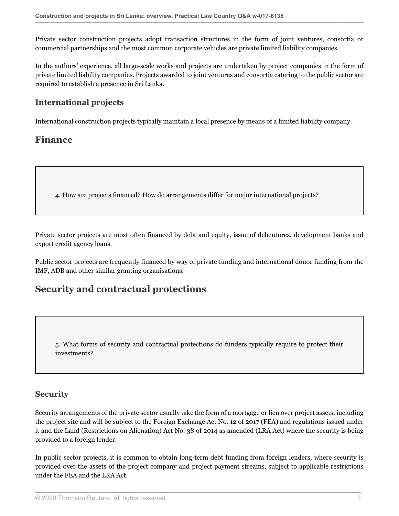Private sector construction projects adopt transaction structures in the form of joint ventures, consortia or commercial partnerships and the most common corporate vehicles are private limited liability companies.

In the authors' experience, all large-scale works and projects are undertaken by project companies in the form of private limited liability companies. Projects awarded to joint ventures and consortia catering to the public sector are required to establish a presence in Sri Lanka.

### **International projects**

International construction projects typically maintain a local presence by means of a limited liability company.

### **Finance**

4. How are projects financed? How do arrangements differ for major international projects?

Private sector projects are most often financed by debt and equity, issue of debentures, development banks and export credit agency loans.

Public sector projects are frequently financed by way of private funding and international donor funding from the IMF, ADB and other similar granting organisations.

### **Security and contractual protections**

5. What forms of security and contractual protections do funders typically require to protect their investments?

### **Security**

Security arrangements of the private sector usually take the form of a mortgage or lien over project assets, including the project site and will be subject to the Foreign Exchange Act No. 12 of 2017 (FEA) and regulations issued under it and the Land (Restrictions on Alienation) Act No. 38 of 2014 as amended (LRA Act) where the security is being provided to a foreign lender.

In public sector projects, it is common to obtain long-term debt funding from foreign lenders, where security is provided over the assets of the project company and project payment streams, subject to applicable restrictions under the FEA and the LRA Act.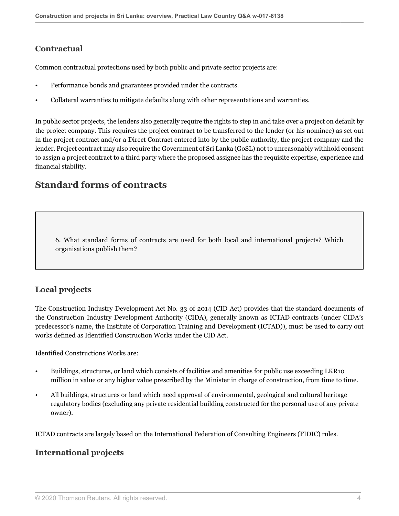### **Contractual**

Common contractual protections used by both public and private sector projects are:

- Performance bonds and guarantees provided under the contracts.
- Collateral warranties to mitigate defaults along with other representations and warranties.

In public sector projects, the lenders also generally require the rights to step in and take over a project on default by the project company. This requires the project contract to be transferred to the lender (or his nominee) as set out in the project contract and/or a Direct Contract entered into by the public authority, the project company and the lender. Project contract may also require the Government of Sri Lanka (GoSL) not to unreasonably withhold consent to assign a project contract to a third party where the proposed assignee has the requisite expertise, experience and financial stability.

### **Standard forms of contracts**

<span id="page-3-0"></span>6. What standard forms of contracts are used for both local and international projects? Which organisations publish them?

### **Local projects**

The Construction Industry Development Act No. 33 of 2014 (CID Act) provides that the standard documents of the Construction Industry Development Authority (CIDA), generally known as ICTAD contracts (under CIDA's predecessor's name, the Institute of Corporation Training and Development (ICTAD)), must be used to carry out works defined as Identified Construction Works under the CID Act.

Identified Constructions Works are:

- Buildings, structures, or land which consists of facilities and amenities for public use exceeding LKR10 million in value or any higher value prescribed by the Minister in charge of construction, from time to time.
- All buildings, structures or land which need approval of environmental, geological and cultural heritage regulatory bodies (excluding any private residential building constructed for the personal use of any private owner).

ICTAD contracts are largely based on the International Federation of Consulting Engineers (FIDIC) rules.

### **International projects**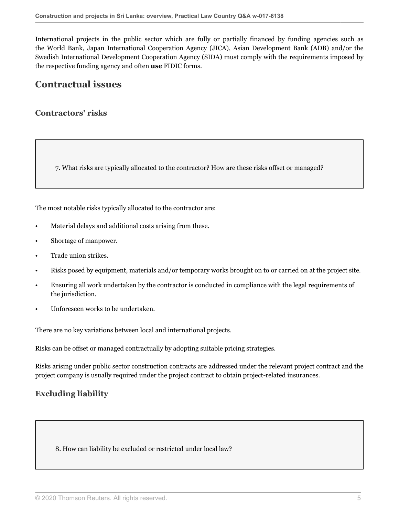International projects in the public sector which are fully or partially financed by funding agencies such as the World Bank, Japan International Cooperation Agency (JICA), Asian Development Bank (ADB) and/or the Swedish International Development Cooperation Agency (SIDA) must comply with the requirements imposed by the respective funding agency and often **use** FIDIC forms.

### **Contractual issues**

### **Contractors' risks**

7. What risks are typically allocated to the contractor? How are these risks offset or managed?

The most notable risks typically allocated to the contractor are:

- Material delays and additional costs arising from these.
- Shortage of manpower.
- Trade union strikes.
- Risks posed by equipment, materials and/or temporary works brought on to or carried on at the project site.
- Ensuring all work undertaken by the contractor is conducted in compliance with the legal requirements of the jurisdiction.
- Unforeseen works to be undertaken.

There are no key variations between local and international projects.

Risks can be offset or managed contractually by adopting suitable pricing strategies.

Risks arising under public sector construction contracts are addressed under the relevant project contract and the project company is usually required under the project contract to obtain project-related insurances.

### **Excluding liability**

8. How can liability be excluded or restricted under local law?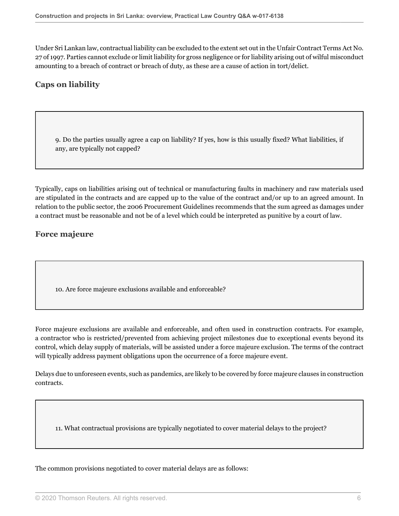Under Sri Lankan law, contractual liability can be excluded to the extent set out in the Unfair Contract Terms Act No. 27 of 1997. Parties cannot exclude or limit liability for gross negligence or for liability arising out of wilful misconduct amounting to a breach of contract or breach of duty, as these are a cause of action in tort/delict.

### **Caps on liability**

9. Do the parties usually agree a cap on liability? If yes, how is this usually fixed? What liabilities, if any, are typically not capped?

Typically, caps on liabilities arising out of technical or manufacturing faults in machinery and raw materials used are stipulated in the contracts and are capped up to the value of the contract and/or up to an agreed amount. In relation to the public sector, the 2006 Procurement Guidelines recommends that the sum agreed as damages under a contract must be reasonable and not be of a level which could be interpreted as punitive by a court of law.

### **Force majeure**

10. Are force majeure exclusions available and enforceable?

Force majeure exclusions are available and enforceable, and often used in construction contracts. For example, a contractor who is restricted/prevented from achieving project milestones due to exceptional events beyond its control, which delay supply of materials, will be assisted under a force majeure exclusion. The terms of the contract will typically address payment obligations upon the occurrence of a force majeure event.

Delays due to unforeseen events, such as pandemics, are likely to be covered by force majeure clauses in construction contracts.

11. What contractual provisions are typically negotiated to cover material delays to the project?

The common provisions negotiated to cover material delays are as follows: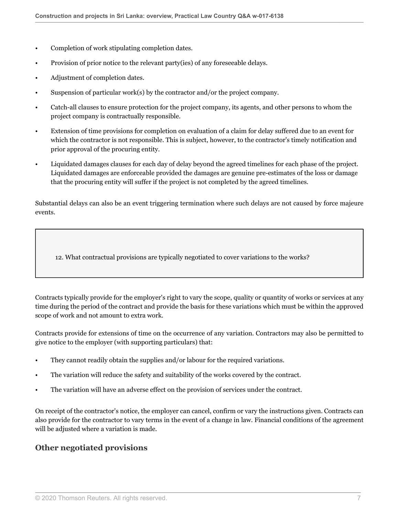- Completion of work stipulating completion dates.
- Provision of prior notice to the relevant party(ies) of any foreseeable delays.
- Adjustment of completion dates.
- Suspension of particular work(s) by the contractor and/or the project company.
- Catch-all clauses to ensure protection for the project company, its agents, and other persons to whom the project company is contractually responsible.
- Extension of time provisions for completion on evaluation of a claim for delay suffered due to an event for which the contractor is not responsible. This is subject, however, to the contractor's timely notification and prior approval of the procuring entity.
- Liquidated damages clauses for each day of delay beyond the agreed timelines for each phase of the project. Liquidated damages are enforceable provided the damages are genuine pre-estimates of the loss or damage that the procuring entity will suffer if the project is not completed by the agreed timelines.

Substantial delays can also be an event triggering termination where such delays are not caused by force majeure events.

12. What contractual provisions are typically negotiated to cover variations to the works?

Contracts typically provide for the employer's right to vary the scope, quality or quantity of works or services at any time during the period of the contract and provide the basis for these variations which must be within the approved scope of work and not amount to extra work.

Contracts provide for extensions of time on the occurrence of any variation. Contractors may also be permitted to give notice to the employer (with supporting particulars) that:

- They cannot readily obtain the supplies and/or labour for the required variations.
- The variation will reduce the safety and suitability of the works covered by the contract.
- The variation will have an adverse effect on the provision of services under the contract.

On receipt of the contractor's notice, the employer can cancel, confirm or vary the instructions given. Contracts can also provide for the contractor to vary terms in the event of a change in law. Financial conditions of the agreement will be adjusted where a variation is made.

#### **Other negotiated provisions**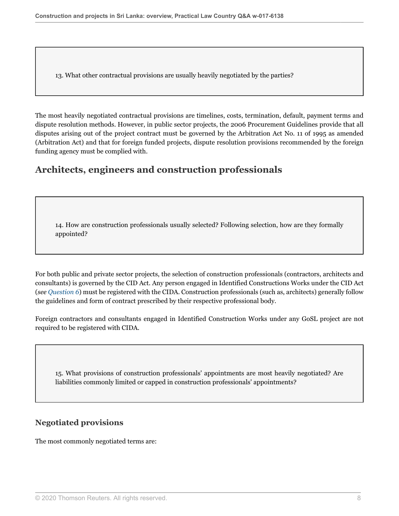13. What other contractual provisions are usually heavily negotiated by the parties?

The most heavily negotiated contractual provisions are timelines, costs, termination, default, payment terms and dispute resolution methods. However, in public sector projects, the 2006 Procurement Guidelines provide that all disputes arising out of the project contract must be governed by the Arbitration Act No. 11 of 1995 as amended (Arbitration Act) and that for foreign funded projects, dispute resolution provisions recommended by the foreign funding agency must be complied with.

### **Architects, engineers and construction professionals**

<span id="page-7-0"></span>14. How are construction professionals usually selected? Following selection, how are they formally appointed?

For both public and private sector projects, the selection of construction professionals (contractors, architects and consultants) is governed by the CID Act. Any person engaged in Identified Constructions Works under the CID Act (*see [Question 6](#page-3-0)*) must be registered with the CIDA. Construction professionals (such as, architects) generally follow the guidelines and form of contract prescribed by their respective professional body.

Foreign contractors and consultants engaged in Identified Construction Works under any GoSL project are not required to be registered with CIDA.

15. What provisions of construction professionals' appointments are most heavily negotiated? Are liabilities commonly limited or capped in construction professionals' appointments?

### **Negotiated provisions**

The most commonly negotiated terms are: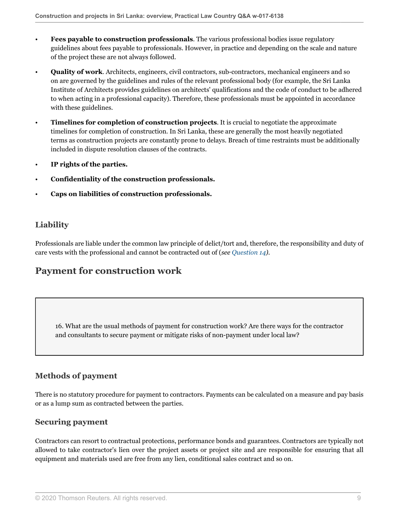- **Fees payable to construction professionals**. The various professional bodies issue regulatory guidelines about fees payable to professionals. However, in practice and depending on the scale and nature of the project these are not always followed.
- **Quality of work**. Architects, engineers, civil contractors, sub-contractors, mechanical engineers and so on are governed by the guidelines and rules of the relevant professional body (for example, the Sri Lanka Institute of Architects provides guidelines on architects' qualifications and the code of conduct to be adhered to when acting in a professional capacity). Therefore, these professionals must be appointed in accordance with these guidelines.
- **Timelines for completion of construction projects**. It is crucial to negotiate the approximate timelines for completion of construction. In Sri Lanka, these are generally the most heavily negotiated terms as construction projects are constantly prone to delays. Breach of time restraints must be additionally included in dispute resolution clauses of the contracts.
- **IP rights of the parties.**
- **Confidentiality of the construction professionals.**
- **Caps on liabilities of construction professionals.**

### **Liability**

Professionals are liable under the common law principle of delict/tort and, therefore, the responsibility and duty of care vests with the professional and cannot be contracted out of (*see [Question 14](#page-7-0))*.

### **Payment for construction work**

16. What are the usual methods of payment for construction work? Are there ways for the contractor and consultants to secure payment or mitigate risks of non-payment under local law?

### **Methods of payment**

There is no statutory procedure for payment to contractors. Payments can be calculated on a measure and pay basis or as a lump sum as contracted between the parties.

#### **Securing payment**

Contractors can resort to contractual protections, performance bonds and guarantees. Contractors are typically not allowed to take contractor's lien over the project assets or project site and are responsible for ensuring that all equipment and materials used are free from any lien, conditional sales contract and so on.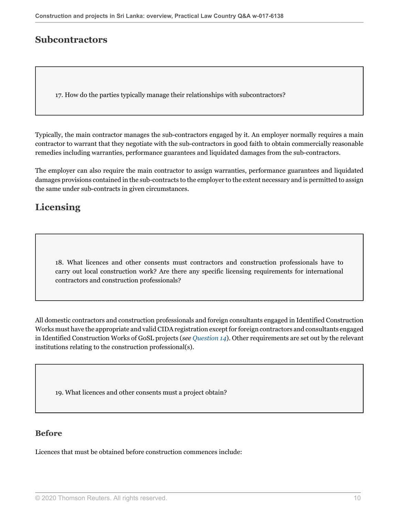### **Subcontractors**

17. How do the parties typically manage their relationships with subcontractors?

Typically, the main contractor manages the sub-contractors engaged by it. An employer normally requires a main contractor to warrant that they negotiate with the sub-contractors in good faith to obtain commercially reasonable remedies including warranties, performance guarantees and liquidated damages from the sub-contractors.

The employer can also require the main contractor to assign warranties, performance guarantees and liquidated damages provisions contained in the sub-contracts to the employer to the extent necessary and is permitted to assign the same under sub-contracts in given circumstances.

# **Licensing**

<span id="page-9-0"></span>18. What licences and other consents must contractors and construction professionals have to carry out local construction work? Are there any specific licensing requirements for international contractors and construction professionals?

All domestic contractors and construction professionals and foreign consultants engaged in Identified Construction Works must have the appropriate and valid CIDA registration except for foreign contractors and consultants engaged in Identified Construction Works of GoSL projects (*see [Question 14](#page-7-0)*). Other requirements are set out by the relevant institutions relating to the construction professional(s).

19. What licences and other consents must a project obtain?

### **Before**

Licences that must be obtained before construction commences include: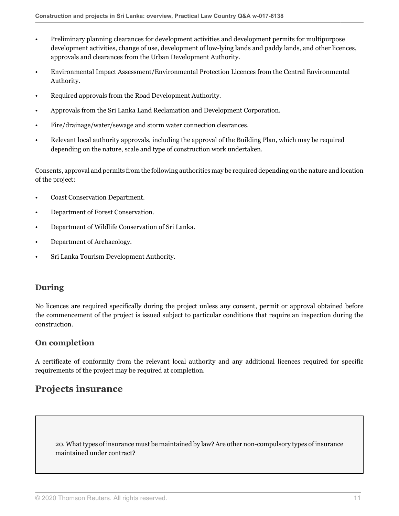- Preliminary planning clearances for development activities and development permits for multipurpose development activities, change of use, development of low-lying lands and paddy lands, and other licences, approvals and clearances from the Urban Development Authority.
- Environmental Impact Assessment/Environmental Protection Licences from the Central Environmental Authority.
- Required approvals from the Road Development Authority.
- Approvals from the Sri Lanka Land Reclamation and Development Corporation.
- Fire/drainage/water/sewage and storm water connection clearances.
- Relevant local authority approvals, including the approval of the Building Plan, which may be required depending on the nature, scale and type of construction work undertaken.

Consents, approval and permits from the following authorities may be required depending on the nature and location of the project:

- Coast Conservation Department.
- Department of Forest Conservation.
- Department of Wildlife Conservation of Sri Lanka.
- Department of Archaeology.
- Sri Lanka Tourism Development Authority.

### **During**

No licences are required specifically during the project unless any consent, permit or approval obtained before the commencement of the project is issued subject to particular conditions that require an inspection during the construction.

### **On completion**

A certificate of conformity from the relevant local authority and any additional licences required for specific requirements of the project may be required at completion.

### **Projects insurance**

20. What types of insurance must be maintained by law? Are other non-compulsory types of insurance maintained under contract?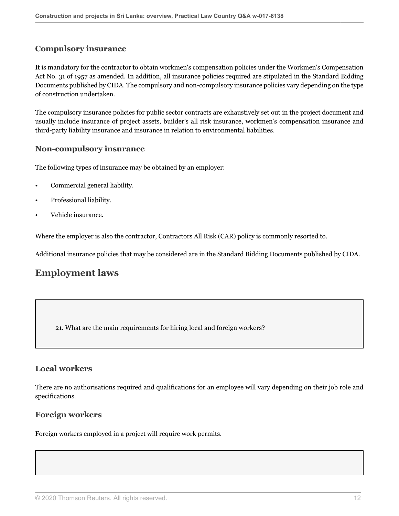### **Compulsory insurance**

It is mandatory for the contractor to obtain workmen's compensation policies under the Workmen's Compensation Act No. 31 of 1957 as amended. In addition, all insurance policies required are stipulated in the Standard Bidding Documents published by CIDA. The compulsory and non-compulsory insurance policies vary depending on the type of construction undertaken.

The compulsory insurance policies for public sector contracts are exhaustively set out in the project document and usually include insurance of project assets, builder's all risk insurance, workmen's compensation insurance and third-party liability insurance and insurance in relation to environmental liabilities.

### **Non-compulsory insurance**

The following types of insurance may be obtained by an employer:

- Commercial general liability.
- Professional liability.
- Vehicle insurance.

Where the employer is also the contractor, Contractors All Risk (CAR) policy is commonly resorted to.

Additional insurance policies that may be considered are in the Standard Bidding Documents published by CIDA.

### **Employment laws**

21. What are the main requirements for hiring local and foreign workers?

### **Local workers**

There are no authorisations required and qualifications for an employee will vary depending on their job role and specifications.

### **Foreign workers**

Foreign workers employed in a project will require work permits.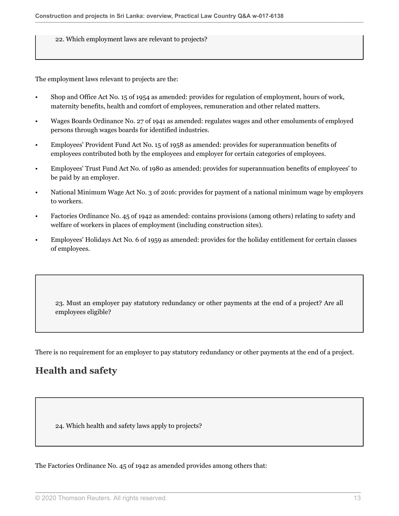22. Which employment laws are relevant to projects?

The employment laws relevant to projects are the:

- Shop and Office Act No. 15 of 1954 as amended: provides for regulation of employment, hours of work, maternity benefits, health and comfort of employees, remuneration and other related matters.
- Wages Boards Ordinance No. 27 of 1941 as amended: regulates wages and other emoluments of employed persons through wages boards for identified industries.
- Employees' Provident Fund Act No. 15 of 1958 as amended: provides for superannuation benefits of employees contributed both by the employees and employer for certain categories of employees.
- Employees' Trust Fund Act No. of 1980 as amended: provides for superannuation benefits of employees' to be paid by an employer.
- National Minimum Wage Act No. 3 of 2016: provides for payment of a national minimum wage by employers to workers.
- Factories Ordinance No. 45 of 1942 as amended: contains provisions (among others) relating to safety and welfare of workers in places of employment (including construction sites).
- Employees' Holidays Act No. 6 of 1959 as amended: provides for the holiday entitlement for certain classes of employees.

23. Must an employer pay statutory redundancy or other payments at the end of a project? Are all employees eligible?

There is no requirement for an employer to pay statutory redundancy or other payments at the end of a project.

# **Health and safety**

24. Which health and safety laws apply to projects?

The Factories Ordinance No. 45 of 1942 as amended provides among others that: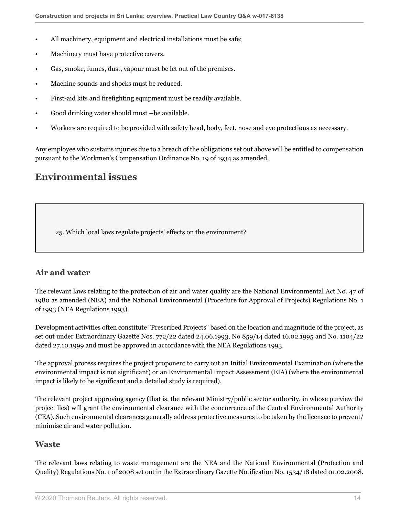- All machinery, equipment and electrical installations must be safe;
- Machinery must have protective covers.
- Gas, smoke, fumes, dust, vapour must be let out of the premises.
- Machine sounds and shocks must be reduced.
- First-aid kits and firefighting equipment must be readily available.
- Good drinking water should must **–**be available.
- Workers are required to be provided with safety head, body, feet, nose and eye protections as necessary.

Any employee who sustains injuries due to a breach of the obligations set out above will be entitled to compensation pursuant to the Workmen's Compensation Ordinance No. 19 of 1934 as amended.

# **Environmental issues**

25. Which local laws regulate projects' effects on the environment?

### <span id="page-13-0"></span>**Air and water**

The relevant laws relating to the protection of air and water quality are the National Environmental Act No. 47 of 1980 as amended (NEA) and the National Environmental (Procedure for Approval of Projects) Regulations No. 1 of 1993 (NEA Regulations 1993).

Development activities often constitute "Prescribed Projects" based on the location and magnitude of the project, as set out under Extraordinary Gazette Nos. 772/22 dated 24.06.1993, No 859/14 dated 16.02.1995 and No. 1104/22 dated 27.10.1999 and must be approved in accordance with the NEA Regulations 1993.

The approval process requires the project proponent to carry out an Initial Environmental Examination (where the environmental impact is not significant) or an Environmental Impact Assessment (EIA) (where the environmental impact is likely to be significant and a detailed study is required).

The relevant project approving agency (that is, the relevant Ministry/public sector authority, in whose purview the project lies) will grant the environmental clearance with the concurrence of the Central Environmental Authority (CEA). Such environmental clearances generally address protective measures to be taken by the licensee to prevent/ minimise air and water pollution.

### <span id="page-13-1"></span>**Waste**

The relevant laws relating to waste management are the NEA and the National Environmental (Protection and Quality) Regulations No. 1 of 2008 set out in the Extraordinary Gazette Notification No. 1534/18 dated 01.02.2008.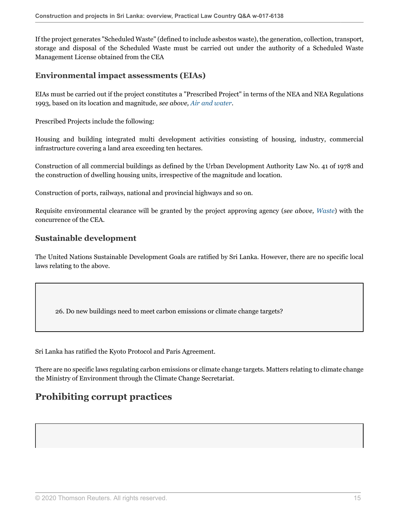If the project generates "Scheduled Waste" (defined to include asbestos waste), the generation, collection, transport, storage and disposal of the Scheduled Waste must be carried out under the authority of a Scheduled Waste Management License obtained from the CEA

### **Environmental impact assessments (EIAs)**

EIAs must be carried out if the project constitutes a "Prescribed Project" in terms of the NEA and NEA Regulations 1993, based on its location and magnitude, *see above, [Air and water](#page-13-0)*.

Prescribed Projects include the following:

Housing and building integrated multi development activities consisting of housing, industry, commercial infrastructure covering a land area exceeding ten hectares.

Construction of all commercial buildings as defined by the Urban Development Authority Law No. 41 of 1978 and the construction of dwelling housing units, irrespective of the magnitude and location.

Construction of ports, railways, national and provincial highways and so on.

Requisite environmental clearance will be granted by the project approving agency (*see above, [Waste](#page-13-1)*) with the concurrence of the CEA.

### **Sustainable development**

The United Nations Sustainable Development Goals are ratified by Sri Lanka. However, there are no specific local laws relating to the above.

26. Do new buildings need to meet carbon emissions or climate change targets?

Sri Lanka has ratified the Kyoto Protocol and Paris Agreement.

There are no specific laws regulating carbon emissions or climate change targets. Matters relating to climate change the Ministry of Environment through the Climate Change Secretariat.

# **Prohibiting corrupt practices**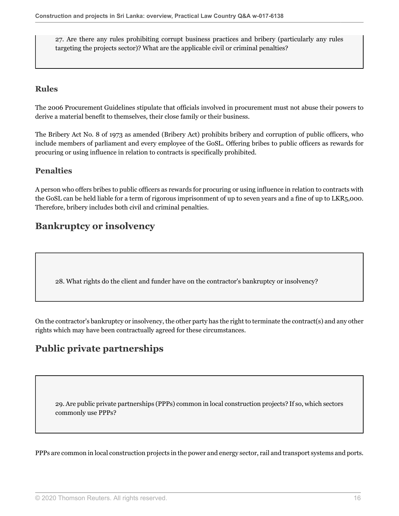27. Are there any rules prohibiting corrupt business practices and bribery (particularly any rules targeting the projects sector)? What are the applicable civil or criminal penalties?

### **Rules**

The 2006 Procurement Guidelines stipulate that officials involved in procurement must not abuse their powers to derive a material benefit to themselves, their close family or their business.

The Bribery Act No. 8 of 1973 as amended (Bribery Act) prohibits bribery and corruption of public officers, who include members of parliament and every employee of the GoSL. Offering bribes to public officers as rewards for procuring or using influence in relation to contracts is specifically prohibited.

### **Penalties**

A person who offers bribes to public officers as rewards for procuring or using influence in relation to contracts with the GoSL can be held liable for a term of rigorous imprisonment of up to seven years and a fine of up to LKR5,000. Therefore, bribery includes both civil and criminal penalties.

# **Bankruptcy or insolvency**

28. What rights do the client and funder have on the contractor's bankruptcy or insolvency?

On the contractor's bankruptcy or insolvency, the other party has the right to terminate the contract(s) and any other rights which may have been contractually agreed for these circumstances.

# **Public private partnerships**

29. Are public private partnerships (PPPs) common in local construction projects? If so, which sectors commonly use PPPs?

PPPs are common in local construction projects in the power and energy sector, rail and transport systems and ports.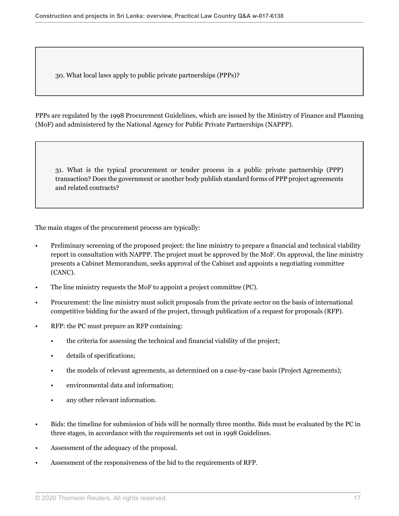30. What local laws apply to public private partnerships (PPPs)?

PPPs are regulated by the 1998 Procurement Guidelines, which are issued by the Ministry of Finance and Planning (MoF) and administered by the National Agency for Public Private Partnerships (NAPPP).

31. What is the typical procurement or tender process in a public private partnership (PPP) transaction? Does the government or another body publish standard forms of PPP project agreements and related contracts?

The main stages of the procurement process are typically:

- Preliminary screening of the proposed project: the line ministry to prepare a financial and technical viability report in consultation with NAPPP. The project must be approved by the MoF. On approval, the line ministry presents a Cabinet Memorandum, seeks approval of the Cabinet and appoints a negotiating committee (CANC).
- The line ministry requests the MoF to appoint a project committee (PC).
- Procurement: the line ministry must solicit proposals from the private sector on the basis of international competitive bidding for the award of the project, through publication of a request for proposals (RFP).
- RFP: the PC must prepare an RFP containing:
	- the criteria for assessing the technical and financial viability of the project;
	- details of specifications;
	- the models of relevant agreements, as determined on a case-by-case basis (Project Agreements);
	- environmental data and information;
	- any other relevant information.
- Bids: the timeline for submission of bids will be normally three months. Bids must be evaluated by the PC in three stages, in accordance with the requirements set out in 1998 Guidelines.
- Assessment of the adequacy of the proposal.
- Assessment of the responsiveness of the bid to the requirements of RFP.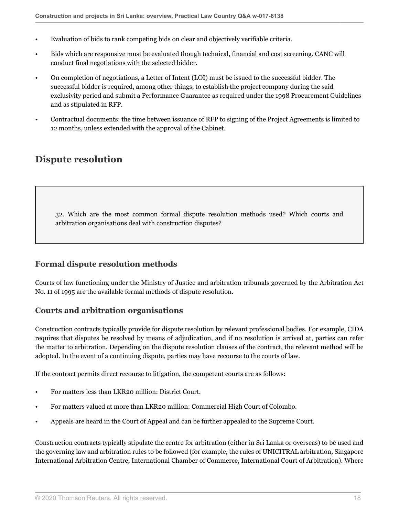- Evaluation of bids to rank competing bids on clear and objectively verifiable criteria.
- Bids which are responsive must be evaluated though technical, financial and cost screening. CANC will conduct final negotiations with the selected bidder.
- On completion of negotiations, a Letter of Intent (LOI) must be issued to the successful bidder. The successful bidder is required, among other things, to establish the project company during the said exclusivity period and submit a Performance Guarantee as required under the 1998 Procurement Guidelines and as stipulated in RFP.
- Contractual documents: the time between issuance of RFP to signing of the Project Agreements is limited to 12 months, unless extended with the approval of the Cabinet.

### **Dispute resolution**

32. Which are the most common formal dispute resolution methods used? Which courts and arbitration organisations deal with construction disputes?

### **Formal dispute resolution methods**

Courts of law functioning under the Ministry of Justice and arbitration tribunals governed by the Arbitration Act No. 11 of 1995 are the available formal methods of dispute resolution.

### **Courts and arbitration organisations**

Construction contracts typically provide for dispute resolution by relevant professional bodies. For example, CIDA requires that disputes be resolved by means of adjudication, and if no resolution is arrived at, parties can refer the matter to arbitration. Depending on the dispute resolution clauses of the contract, the relevant method will be adopted. In the event of a continuing dispute, parties may have recourse to the courts of law.

If the contract permits direct recourse to litigation, the competent courts are as follows:

- For matters less than LKR20 million: District Court.
- For matters valued at more than LKR20 million: Commercial High Court of Colombo.
- Appeals are heard in the Court of Appeal and can be further appealed to the Supreme Court.

Construction contracts typically stipulate the centre for arbitration (either in Sri Lanka or overseas) to be used and the governing law and arbitration rules to be followed (for example, the rules of UNICITRAL arbitration, Singapore International Arbitration Centre, International Chamber of Commerce, International Court of Arbitration). Where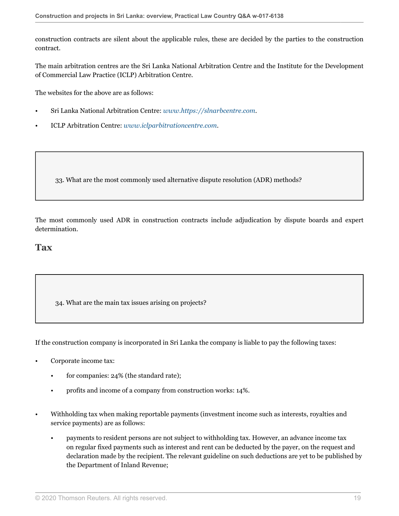construction contracts are silent about the applicable rules, these are decided by the parties to the construction contract.

The main arbitration centres are the Sri Lanka National Arbitration Centre and the Institute for the Development of Commercial Law Practice (ICLP) Arbitration Centre.

The websites for the above are as follows:

- Sri Lanka National Arbitration Centre: *[www.https://slnarbcentre.com](http://www.https://slnarbcentre.com)*.
- ICLP Arbitration Centre: *[www.iclparbitrationcentre.com](http://www.iclparbitrationcentre.com)*.

33. What are the most commonly used alternative dispute resolution (ADR) methods?

The most commonly used ADR in construction contracts include adjudication by dispute boards and expert determination.

#### **Tax**

34. What are the main tax issues arising on projects?

If the construction company is incorporated in Sri Lanka the company is liable to pay the following taxes:

- Corporate income tax:
	- for companies: 24% (the standard rate);
	- profits and income of a company from construction works: 14%.
- Withholding tax when making reportable payments (investment income such as interests, royalties and service payments) are as follows:
	- payments to resident persons are not subject to withholding tax. However, an advance income tax on regular fixed payments such as interest and rent can be deducted by the payer, on the request and declaration made by the recipient. The relevant guideline on such deductions are yet to be published by the Department of Inland Revenue;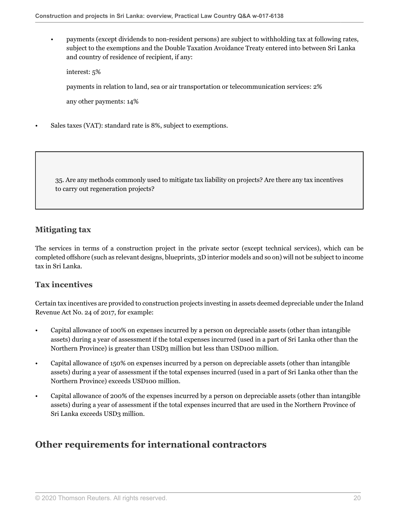• payments (except dividends to non-resident persons) are subject to withholding tax at following rates, subject to the exemptions and the Double Taxation Avoidance Treaty entered into between Sri Lanka and country of residence of recipient, if any:

interest: 5%

payments in relation to land, sea or air transportation or telecommunication services: 2%

any other payments: 14%

Sales taxes (VAT): standard rate is 8%, subject to exemptions.

35. Are any methods commonly used to mitigate tax liability on projects? Are there any tax incentives to carry out regeneration projects?

### **Mitigating tax**

The services in terms of a construction project in the private sector (except technical services), which can be completed offshore (such as relevant designs, blueprints, 3D interior models and so on) will not be subject to income tax in Sri Lanka.

### **Tax incentives**

Certain tax incentives are provided to construction projects investing in assets deemed depreciable under the Inland Revenue Act No. 24 of 2017, for example:

- Capital allowance of 100% on expenses incurred by a person on depreciable assets (other than intangible assets) during a year of assessment if the total expenses incurred (used in a part of Sri Lanka other than the Northern Province) is greater than USD3 million but less than USD100 million.
- Capital allowance of 150% on expenses incurred by a person on depreciable assets (other than intangible assets) during a year of assessment if the total expenses incurred (used in a part of Sri Lanka other than the Northern Province) exceeds USD100 million.
- Capital allowance of 200% of the expenses incurred by a person on depreciable assets (other than intangible assets) during a year of assessment if the total expenses incurred that are used in the Northern Province of Sri Lanka exceeds USD3 million.

### **Other requirements for international contractors**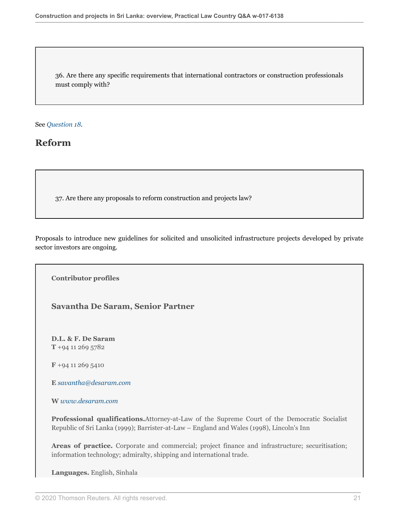36. Are there any specific requirements that international contractors or construction professionals must comply with?

See *[Question 18](#page-9-0).*

### **Reform**

37. Are there any proposals to reform construction and projects law?

Proposals to introduce new guidelines for solicited and unsolicited infrastructure projects developed by private sector investors are ongoing.

**Contributor profiles**

**Savantha De Saram, Senior Partner**

**D.L. & F. De Saram T** +94 11 269 5782

**F** +94 11 269 5410

**E** *[savantha@desaram.com](mailto:savantha@desaram.com)*

**W** *[www.desaram.com](http://www.desaram.com)*

**Professional qualifications.**Attorney-at-Law of the Supreme Court of the Democratic Socialist Republic of Sri Lanka (1999); Barrister-at-Law – England and Wales (1998), Lincoln's Inn

**Areas of practice.** Corporate and commercial; project finance and infrastructure; securitisation; information technology; admiralty, shipping and international trade.

**Languages.** English, Sinhala